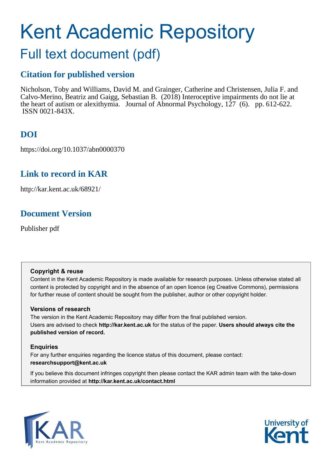# Kent Academic Repository

## Full text document (pdf)

## **Citation for published version**

Nicholson, Toby and Williams, David M. and Grainger, Catherine and Christensen, Julia F. and Calvo-Merino, Beatriz and Gaigg, Sebastian B. (2018) Interoceptive impairments do not lie at the heart of autism or alexithymia. Journal of Abnormal Psychology, 127 (6). pp. 612-622. ISSN 0021-843X.

## **DOI**

https://doi.org/10.1037/abn0000370

## **Link to record in KAR**

http://kar.kent.ac.uk/68921/

## **Document Version**

Publisher pdf

#### **Copyright & reuse**

Content in the Kent Academic Repository is made available for research purposes. Unless otherwise stated all content is protected by copyright and in the absence of an open licence (eg Creative Commons), permissions for further reuse of content should be sought from the publisher, author or other copyright holder.

#### **Versions of research**

The version in the Kent Academic Repository may differ from the final published version. Users are advised to check **http://kar.kent.ac.uk** for the status of the paper. **Users should always cite the published version of record.**

#### **Enquiries**

For any further enquiries regarding the licence status of this document, please contact: **researchsupport@kent.ac.uk**

If you believe this document infringes copyright then please contact the KAR admin team with the take-down information provided at **http://kar.kent.ac.uk/contact.html**



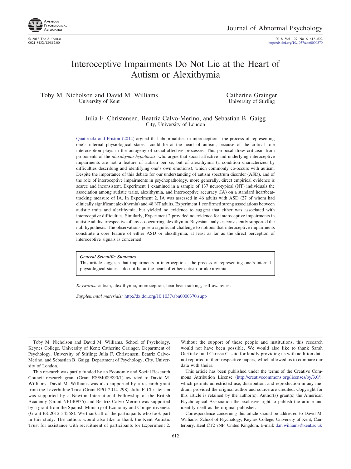

© 2018 The Author(s) 2018, Vol. 127, No. 6, 612–622 http://dx.doi.org[/10.1037/abn0000370](http://dx.doi.org/10.1037/abn0000370)

### Interoceptive Impairments Do Not Lie at the Heart of Autism or Alexithymia

#### Toby M. Nicholson and David M. Williams University of Kent

Catherine Grainger University of Stirling

Julia F. Christensen, Beatriz Calvo-Merino, and Sebastian B. Gaigg City, University of London

[Quattrocki and Friston \(2014\)](#page-9-0) argued that abnormalities in interoception—the process of representing one's internal physiological states—could lie at the heart of autism, because of the critical role interoception plays in the ontogeny of social-affective processes. This proposal drew criticism from proponents of the *alexithymia hypothesis*, who argue that social-affective and underlying interoceptive impairments are not a feature of autism per se, but of alexithymia (a condition characterized by difficulties describing and identifying one's own emotions), which commonly co-occurs with autism. Despite the importance of this debate for our understanding of autism spectrum disorder (ASD), and of the role of interoceptive impairments in psychopathology, more generally, direct empirical evidence is scarce and inconsistent. Experiment 1 examined in a sample of 137 neurotypical (NT) individuals the association among autistic traits, alexithymia, and interoceptive accuracy (IA) on a standard heartbeattracking measure of IA. In Experiment 2, IA was assessed in 46 adults with ASD (27 of whom had clinically significant alexithymia) and 48 NT adults. Experiment 1 confirmed strong associations between autistic traits and alexithymia, but yielded no evidence to suggest that either was associated with interoceptive difficulties. Similarly, Experiment 2 provided no evidence for interoceptive impairments in autistic adults, irrespective of any co-occurring alexithymia. Bayesian analyses consistently supported the null hypothesis. The observations pose a significant challenge to notions that interoceptive impairments constitute a core feature of either ASD or alexithymia, at least as far as the direct perception of interoceptive signals is concerned.

*General Scientific Summary*

This article suggests that impairments in interoception—the process of representing one's internal physiological states—do not lie at the heart of either autism or alexithymia.

*Keywords:* autism, alexithymia, interoception, heartbeat tracking, self-awareness

*Supplemental materials:* http://dx.doi.org[/10.1037/abn0000370.supp](http://dx.doi.org/10.1037/abn0000370.supp)

Toby M. Nicholson and David M. Williams, School of Psychology, Keynes College, University of Kent; Catherine Grainger, Department of Psychology, University of Stirling; Julia F. Christensen, Beatriz Calvo-Merino, and Sebastian B. Gaigg, Department of Psychology, City, University of London.

This research was partly funded by an Economic and Social Research Council research grant (Grant ES/M009890/1) awarded to David M. Williams. David M. Williams was also supported by a research grant from the Leverhulme Trust (Grant RPG-2014-298). Julia F. Christensen was supported by a Newton International Fellowship of the British Academy (Grant NF140935) and Beatriz Calvo-Merino was supported by a grant from the Spanish Ministry of Economy and Competitiveness (Grant PSI2012-34558). We thank all of the participants who took part in this study. The authors would also like to thank the Kent Autistic Trust for assistance with recruitment of participants for Experiment 2.

Without the support of these people and institutions, this research would not have been possible. We would also like to thank Sarah Garfinkel and Carissa Cascio for kindly providing us with addition data not reported in their respective papers, which allowed us to compare our data with theirs.

This article has been published under the terms of the Creative Commons Attribution License [\(http://creativecommons.org/licenses/by/3.0/\)](http://creativecommons.org/licenses/by/3.0/), which permits unrestricted use, distribution, and reproduction in any medium, provided the original author and source are credited. Copyright for this article is retained by the author(s). Author(s) grant(s) the American Psychological Association the exclusive right to publish the article and identify itself as the original publisher.

Correspondence concerning this article should be addressed to David M. Williams, School of Psychology, Keynes College, University of Kent, Canterbury, Kent CT2 7NP, United Kingdom. E-mail: [d.m.williams@kent.ac.uk](mailto:d.m.williams@kent.ac.uk)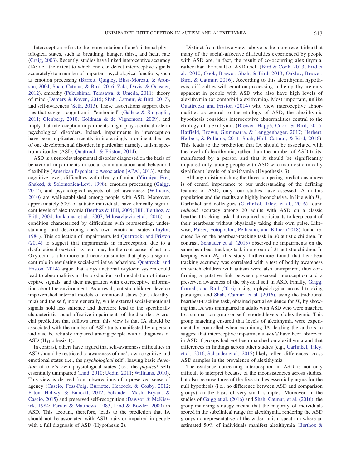Interoception refers to the representation of one's internal physiological states, such as breathing, hunger, thirst, and heart rate [\(Craig, 2003\)](#page-8-0). Recently, studies have linked interoceptive accuracy (IA; i.e., the extent to which one can detect interoceptive signals accurately) to a number of important psychological functions, such as emotion processing [\(Barrett, Quigley, Bliss-Moreau, & Aron](#page-8-1)[son, 2004;](#page-8-1) [Shah, Catmur, & Bird, 2016;](#page-9-1) [Zaki, Davis, & Ochsner,](#page-10-0) [2012\)](#page-10-0), empathy [\(Fukushima, Terasawa, & Umeda, 2011\)](#page-8-2), theory of mind [\(Demers & Koven, 2015;](#page-8-3) [Shah, Catmur, & Bird, 2017\)](#page-9-2), and self-awareness [\(Seth, 2013\)](#page-9-3). These associations support theories that suggest cognition is "embodied" [\(Gallese & Sinigaglia,](#page-8-4) [2011;](#page-8-4) [Glenberg, 2010;](#page-9-4) [Goldman & de Vignemont, 2009\)](#page-9-5), and imply that interoception impairments might play a critical role in psychological disorders. Indeed, impairments in interoception have been implicated recently in increasingly prominent theories of one developmental disorder, in particular: namely, autism spectrum disorder (ASD; [Quattrocki & Friston, 2014\)](#page-9-0).

ASD is a neurodevelopmental disorder diagnosed on the basis of behavioral impairments in social-communication and behavioral flexibility [\(American Psychiatric Association \[APA\], 2013\)](#page-7-0). At the cognitive level, difficulties with theory of mind [\(Yirmiya, Erel,](#page-10-1) [Shaked, & Solomonica-Levi, 1998\)](#page-10-1), emotion processing [\(Gaigg,](#page-8-5) [2012\)](#page-8-5), and psychological aspects of self-awareness [\(Williams,](#page-10-2) [2010\)](#page-10-2) are well-established among people with ASD. Moreover, approximately 50% of autistic individuals have clinically significant levels of alexithymia [\(Berthoz & Hill, 2005;](#page-8-6) [Hill, Berthoz, &](#page-9-6) [Frith, 2004;](#page-9-6) [Joukamaa et al., 2007;](#page-9-7) [Milosavljevic et al., 2016\)](#page-9-8)—a condition characterized by difficulties with representing, understanding, and describing one's own emotional states [\(Taylor,](#page-10-3) [1984\)](#page-10-3). This collection of impairments led [Quattrocki and Friston](#page-9-0) [\(2014\)](#page-9-0) to suggest that impairments in interoception, due to a dysfunctional oxytocin system, may be the root cause of autism. Oxytocin is a hormone and neurotransmitter that plays a significant role in regulating social-affiliative behaviors. [Quattrocki and](#page-9-0) [Friston \(2014\)](#page-9-0) argue that a dysfunctional oxytocin system could lead to abnormalities in the production and modulation of interoceptive signals, and their integration with exteroceptive information about the environment. As a result, autistic children develop impoverished internal models of emotional states (i.e., alexithymia) and the self, more generally, while external social-emotional signals hold less salience and therefore lead to the specifically characteristic social-affective impairments of the disorder. A crucial prediction that follows from this view is that IA should be associated with the number of ASD traits manifested by a person and also be reliably impaired among people with a diagnosis of ASD (Hypothesis 1).

In contrast, others have argued that self-awareness difficulties in ASD should be restricted to awareness of one's own cognitive and emotional states (i.e., the *psychological* self), leaving basic *detection* of one's own physiological states (i.e., the *physical* self) essentially unimpaired [\(Lind, 2010;](#page-9-9) [Uddin, 2011;](#page-10-4) [Williams, 2010\)](#page-10-2). This view is derived from observations of a preserved sense of agency [\(Cascio, Foss-Feig, Burnette, Heacock, & Cosby, 2012;](#page-8-7) [Paton, Hohwy, & Enticott, 2012;](#page-9-10) [Schauder, Mash, Bryant, &](#page-9-11) [Cascio, 2015\)](#page-9-11) and preserved self-recognition [\(Dawson & McKiss](#page-8-8)[ick, 1984;](#page-8-8) [Ferrari & Matthews, 1983;](#page-8-9) [Lind & Bowler, 2009\)](#page-9-12) in ASD. This account, therefore, leads to the prediction that IA should not be associated with ASD traits or impaired in people with a full diagnosis of ASD (Hypothesis 2).

Distinct from the two views above is the more recent idea that many of the social-affective difficulties experienced by people with ASD are, in fact, the result of co-occurring alexithymia, rather than the result of ASD itself [\(Bird & Cook, 2013;](#page-8-10) [Bird et](#page-8-11) [al., 2010;](#page-8-11) [Cook, Brewer, Shah, & Bird, 2013;](#page-8-12) [Oakley, Brewer,](#page-9-13) [Bird, & Catmur, 2016\)](#page-9-13). According to this alexithymia hypothesis, difficulties with emotion processing and empathy are only apparent in people with ASD who also have high levels of alexithymia (or comorbid alexithymia). Most important, unlike [Quattrocki and Friston \(2014\)](#page-9-0) who view interoceptive abnormalities as central to the etiology of ASD, the alexithymia hypothesis considers interoceptive abnormalities central to the etiology of alexithymia [\(Brewer, Happé, Cook, & Bird, 2015;](#page-8-13) [Hatfield, Brown, Giummarra, & Lenggenhager, 2017;](#page-9-14) [Herbert,](#page-9-15) [Herbert, & Pollatos, 2011;](#page-9-15) [Shah, Hall, Catmur, & Bird, 2016\)](#page-9-16). This leads to the prediction that IA should be associated with the level of alexithymia, rather than the number of ASD traits, manifested by a person and that it should be significantly impaired only among people with ASD who manifest clinically significant levels of alexithymia (Hypothesis 3).

Although distinguishing the three competing predictions above is of central importance to our understanding of the defining features of ASD, only four studies have assessed IA in this population and the results are highly inconclusive. In line with *H*<sup>1</sup> , Garfinkel and colleagues [\(Garfinkel, Tiley, et al., 2016\)](#page-8-14) found *reduced* accuracy among 20 adults with ASD on a classic heartbeat-tracking task that required participants to keep count of their heartbeats without physically taking their own pulse. Likewise, [Palser, Fotopoulou, Pellicano, and Kilner \(2018\)](#page-9-17) found reduced IA on the heartbeat-tracking task in 30 autistic children. In contrast, [Schauder et al. \(2015\)](#page-9-11) observed no impairments on the same heartbeat-tracking task in a group of 21 autistic children. In keeping with  $H_2$ , this study furthermore found that heartbeat tracking accuracy was correlated with a test of bodily awareness on which children with autism were also unimpaired, thus confirming a putative link between preserved interoception and a preserved awareness of the physical self in ASD. Finally, [Gaigg,](#page-8-15) [Cornell, and Bird \(2016\),](#page-8-15) using a physiological arousal tracking paradigm, and [Shah, Catmur, et al. \(2016\),](#page-9-1) using the traditional heartbeat-tracking task, obtained partial evidence for  $H_3$  by showing that IA was unimpaired in adults with ASD who were matched to a comparison group on self-reported levels of alexithymia. This group matching ensured that levels of alexithymia were experimentally controlled when examining IA, leading the authors to suggest that interoceptive impairments *would* have been observed in ASD if groups had *not* been matched on alexithymia and that differences in findings across other studies (e.g., [Garfinkel, Tiley,](#page-8-14) [et al., 2016;](#page-8-14) [Schauder et al., 2015\)](#page-9-11) likely reflect differences across ASD samples in the prevalence of alexithymia.

The evidence concerning interoception in ASD is not only difficult to interpret because of the inconsistencies across studies, but also because three of the five studies essentially argue for the null hypothesis (i.e., no difference between ASD and comparison groups) on the basis of very small samples. Moreover, in the studies of [Gaigg et al. \(2016\)](#page-8-15) and [Shah, Catmur, et al. \(2016\),](#page-9-1) the group-matching strategy meant that the majority of individuals scored in the subclinical range for alexithymia, rendering the ASD groups nonrepresentative of the wider autism spectrum where an estimated 50% of individuals manifest alexithymia [\(Berthoz &](#page-8-6)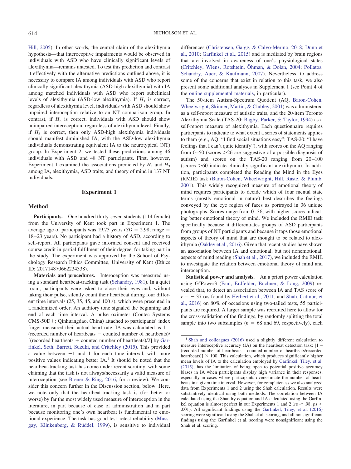[Hill, 2005\)](#page-8-6). In other words, the central claim of the alexithymia hypothesis—that interoceptive impairments would be observed in individuals with ASD who have clinically significant levels of alexithymia—remains untested. To test this prediction and contrast it effectively with the alternative predictions outlined above, it is necessary to compare IA among individuals with ASD who report clinically significant alexithymia (ASD-high alexithymia) with IA among matched individuals with ASD who report subclinical levels of alexithymia (ASD-low alexithymia). If  $H_1$  is correct, regardless of alexithymia level, individuals with ASD should show impaired interoception relative to an NT comparison group. In contrast, if  $H_2$  is correct, individuals with ASD should show unimpaired interoception, regardless of alexithymia level. Finally, if  $H_3$  is correct, then only ASD-high alexithymia individuals should manifest diminished IA, with the ASD-low alexithymia individuals demonstrating equivalent IA to the neurotypical (NT) group. In Experiment 2, we tested these predictions among 46 individuals with ASD and 48 NT participants. First, however, Experiment 1 examined the associations predicted by  $H_1$  and  $H_3$ among IA, alexithymia, ASD traits, and theory of mind in 137 NT individuals.

#### **Experiment 1**

#### **Method**

**Participants.** One hundred thirty-seven students (114 female) from the University of Kent took part in Experiment 1. The average age of participants was  $19.73$  years  $(SD = 2.98)$ ; range = 18–23 years). No participant had a history of ASD, according to self-report. All participants gave informed consent and received course credit in partial fulfilment of their degree, for taking part in the study. The experiment was approved by the School of Psychology Research Ethics Committee, University of Kent (Ethics ID: 201714870662234338).

**Materials and procedures.** Interoception was measured using a standard heartbeat-tracking task [\(Schandry, 1981\)](#page-9-18). In a quiet room, participants were asked to close their eyes and, without taking their pulse, silently count their heartbeat during four different time intervals (25, 35, 45, and 100 s), which were presented in a randomized order. An auditory tone signaled the beginning and end of each time interval. A pulse oximeter (Contec Systems CMS-50D+; Qinhuangdao, China) attached to participants' index finger measured their actual heart rate. IA was calculated as 1 – (recorded number of heartbeats  $-$  counted number of heartbeats)/ [(recorded heartbeats  $+$  counted number of heartbeats)/2] by [Gar](#page-8-16)[finkel, Seth, Barrett, Suzuki, and Critchley \(2015\).](#page-8-16) This provided a value between  $-1$  and 1 for each time interval, with more positive values indicating better  $IA<sup>1</sup>$  It should be noted that the heartbeat-tracking task has come under recent scrutiny, with some claiming that the task is not always/necessarily a valid measure of interoception (see [Brener & Ring, 2016,](#page-8-17) for a review). We consider this concern further in the Discussion section, below. Here, we note only that the heartbeat-tracking task is (for better or worse) by far the most widely used measure of interoception in the literature, in part because of ease of administration and in part because monitoring one's own heartbeat is fundamental to emotional experience. The task has good test–retest reliability [\(Muss](#page-9-19)[gay, Klinkenberg, & Rüddel, 1999\)](#page-9-19), is sensitive to individual differences [\(Christensen, Gaigg, & Calvo-Merino, 2018;](#page-8-18) [Dunn et](#page-8-19) [al., 2010;](#page-8-19) [Garfinkel et al., 2015\)](#page-8-16) and is mediated by brain regions that are involved in awareness of one's physiological states [\(Critchley, Wiens, Rotshtein, Öhman, & Dolan, 2004;](#page-8-20) [Pollatos,](#page-9-20) [Schandry, Auer, & Kaufmann, 2007\)](#page-9-20). Nevertheless, to address some of the concerns that exist in relation to this task, we also present some additional analyses in Supplement 1 (see Point 4 of the [online supplemental materials,](http://dx.doi.org/10.1037/abn0000370.supp) in particular).

The 50-item Autism-Spectrum Quotient (AQ; [Baron-Cohen,](#page-8-21) [Wheelwright, Skinner, Martin, & Clubley, 2001\)](#page-8-21) was administered as a self-report measure of autistic traits, and the 20-item Toronto Alexithymia Scale (TAS-20; [Bagby, Parker, & Taylor, 1994\)](#page-7-1) as a self-report measure of alexithymia. Each questionnaire requires participants to indicate to what extent a series of statements applies to them (e.g., AQ: "I find social situations easy"; TAS-20: "I have feelings that I can't quite identify"), with scores on the AQ ranging from  $0-50$  (scores  $>26$  are suggestive of a possible diagnosis of autism) and scores on the TAS-20 ranging from 20–100  $(scores > 60$  indicate clinically significant alexithymia). In addition, participants completed the Reading the Mind in the Eyes (RMIE) task [\(Baron-Cohen, Wheelwright, Hill, Raste, & Plumb,](#page-8-22) [2001\)](#page-8-22). This widely recognized measure of emotional theory of mind requires participants to decide which of four mental state terms (mostly emotional in nature) best describes the feelings conveyed by the eye region of faces as portrayed in 36 unique photographs. Scores range from 0–36, with higher scores indicating better emotional theory of mind. We included the RMIE task specifically because it differentiates groups of ASD participants from groups of NT participants and because it taps those emotional aspects of theory of mind that are thought to be related to alexithymia [\(Oakley et al., 2016\)](#page-9-13). Given that recent studies have shown an association between IA and emotional, but not nonemotional, aspects of mind reading [\(Shah et al., 2017\)](#page-9-2), we included the RMIE to investigate the relation between emotional theory of mind and interoception.

**Statistical power and analysis.** An a priori power calculation using G\*Power3 [\(Faul, Erdfelder, Buchner, & Lang, 2009\)](#page-8-23) revealed that, to detect an association between IA and TAS score of  $r = -.37$  (as found by [Herbert et al., 2011,](#page-9-15) and [Shah, Catmur, et](#page-9-1) [al., 2016\)](#page-9-1) on 80% of occasions using two-tailed tests, 55 participants are required. A larger sample was recruited here to allow for the cross-validation of the findings, by randomly splitting the total sample into two subsamples ( $n = 68$  and 69, respectively), each

<sup>&</sup>lt;sup>1</sup> [Shah and colleagues \(2016\)](#page-9-1) used a slightly different calculation to measure interoceptive accuracy (IA) on the heartbeat detection task: [1 – (recorded number of heartbeats – counted number of heartbeats/recorded heartbeats)]  $\times$  100. This calculation, which produces significantly higher mean levels of IA to the calculation employed by [Garfinkel, Tiley, et al.](#page-8-16) [\(2015\),](#page-8-16) has the limitation of being open to potential positive accuracy biases in IA when participants display high variance in their responses, especially in cases where participants overestimate the number of heartbeats in a given time interval. However, for completeness we also analyzed data from Experiments 1 and 2 using the Shah calculation. Results were substantively identical using both methods. The correlation between IA calculated using the Shandry equation and IA calculated using the Garfinkel equation is almost perfect in our Experiments 1 and 2 ( $rs \ge 0.98$ ,  $ps <$ .001). All significant findings using the [Garfinkel, Tiley, et al. \(2016\)](#page-8-14) scoring were significant using the Shah et al. scoring, and all nonsignificant findings using the Garfinkel et al. scoring were nonsignificant using the Shah et al. scoring.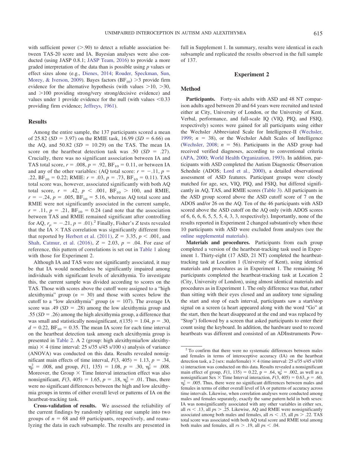<span id="page-4-0"></span>with sufficient power  $(> 0.90)$  to detect a reliable association between TAS-20 score and IA. Bayesian analyses were also conducted (using JASP 0.8.1; [JASP Team, 2016\)](#page-9-21) to provide a more graded interpretation of the data than is possible using *p* values or effect sizes alone (e.g., [Dienes, 2014;](#page-8-24) [Rouder, Speckman, Sun,](#page-9-22) [Morey, & Iverson, 2009\)](#page-9-22). Bayes factors  $(BF_{10}) > 3$  provide firm evidence for the alternative hypothesis (with values  $>10$ ,  $>30$ , and  $>100$  providing strong/very strong/decisive evidence) and values under 1 provide evidence for the null (with values  $\leq 0.33$ ) providing firm evidence; [Jeffreys, 1961\)](#page-9-23).

#### **Results**

Among the entire sample, the 137 participants scored a mean of 25.82 ( $SD = 3.97$ ) on the RMIE task, 16.99 ( $SD = 6.66$ ) on the AQ, and  $50.82$  ( $SD = 10.29$ ) on the TAS. The mean IA score on the heartbeat detection task was .50  $(SD = .27)$ . Crucially, there was no significant association between IA and TAS total score,  $r = .008$ ,  $p = .92$ ,  $BF_{10} = 0.11$ , or between IA and any of the other variables: (AQ total score:  $r = -.11$ ,  $p =$ .22,  $BF_{10} = 0.22$ ; RMIE:  $r = .03$ ,  $p = .73$ ,  $BF_{10} = 0.11$ ). TAS total score was, however, associated significantly with both AQ total score,  $r = .42$ ,  $p < .001$ ,  $BF_{10} > 100$ , and RMIE,  $r = -.24$ ,  $p = .005$ ,  $BF_{10} = 5.16$ , whereas AQ total score and RMIE were not significantly associated in the current sample,  $r = .11, p = .21, BF_{10} = 0.24$  (and note that the association between TAS and RMIE remained significant after controlling for AQ,  $r_p = -.21$ ,  $p = .01$ ).<sup>2</sup> Finally, Fisher's *Z* tests revealed that the IA  $\times$  TAS correlation was significantly different from that reported by Herbert et al.  $(2011)$ ,  $Z = 3.35$ ,  $p < .001$ , and Shah, Catmur, et al.  $(2016)$ ,  $Z = 2.03$ ,  $p = .04$ . For ease of reference, this pattern of correlations is set out in [Table 1](#page-4-0) along with those for Experiment 2.

<span id="page-4-1"></span>Although IA and TAS were not significantly associated, it may be that IA would nonetheless be significantly impaired among individuals with significant levels of alexithymia. To investigate this, the current sample was divided according to scores on the TAS. Those with scores above the cutoff were assigned to a "high alexithymia" group  $(n = 30)$  and those with scores below the cutoff to a "low alexithymia" group ( $n = 107$ ). The average IA score was .49  $(SD = .28)$  among the low alexithymia group and  $.55$  ( $SD = .26$ ) among the high alexithymia group, a difference that was small and statistically nonsignificant,  $t(135) = 1.04$ ,  $p = .30$ ,  $d = 0.22$ ,  $BF_{10} = 0.35$ . The mean IA score for each time interval on the heartbeat detection task among each alexithymia group is presented in [Table 2.](#page-4-1) A 2 (group: high alexithymia/low alexithymia)  $\times$  4 (time interval: 25 s/35 s/45 s/100 s) analysis of variance (ANOVA) was conducted on this data. Results revealed nonsignificant main effects of time interval,  $F(3, 405) = 1.13$ ,  $p = .34$ ,  $\eta_p^2 = .008$ , and group,  $F(1, 135) = 1.08$ ,  $p = .30$ ,  $\eta_p^2 = .008$ . Moreover, the Group  $\times$  Time Interval interaction effect was also nonsignificant,  $F(3, 405) = 1.65$ ,  $p = .18$ ,  $\eta_p^2 = .01$ . Thus, there were no significant differences between the high and low alexithymia groups in terms of either overall level or patterns of IA on the heartbeat-tracking task.

**Cross-validation of results.** We assessed the reliability of the current findings by randomly splitting our sample into two groups of  $n = 68$  and 69 participants, respectively, and reanalyzing the data in each subsample. The results are presented in full in Supplement 1. In summary, results were identical in each subsample and replicated the results observed in the full sample of 137.

#### **Experiment 2**

#### **Method**

**Participants.** Forty-six adults with ASD and 48 NT comparison adults aged between 20 and 64 years were recruited and tested either at City, University of London, or the University of Kent. Verbal, performance, and full-scale IQ (VIQ, PIQ, and FSIQ, respectively) scores were gained for all participants using either the Wechsler Abbreviated Scale for Intelligence-II [\(Wechsler,](#page-10-5) [1999;](#page-10-5)  $n = 38$ ), or the Wechsler Adult Scales of Intelligence [\(Wechsler, 2008;](#page-10-6)  $n = 56$ ). Participants in the ASD group had received verified diagnoses, according to conventional criteria [\(APA, 2000;](#page-7-2) [World Health Organization, 1993\)](#page-10-7). In addition, participants with ASD completed the Autism Diagnostic Observation Schedule (ADOS; [Lord et al., 2000\)](#page-9-24), a detailed observational assessment of ASD features. Participant groups were closely matched for age, sex, VIQ, PIQ, and FSIQ, but differed significantly in AQ, TAS, and RMIE scores [\(Table 3\)](#page-5-0). All participants in the ASD group scored above the ASD cutoff score of 7 on the ADOS and/or 26 on the AQ. Ten of the 46 participants with ASD scored above the ASD cutoff on the AQ only (with ADOS scores of 6, 6, 6, 6, 5, 5, 5, 4, 3, 3, respectively). Importantly, none of the results reported in Experiment 2 changed substantively when these 10 participants with ASD were excluded from analyses (see the [online supplemental materials\)](http://dx.doi.org/10.1037/abn0000370.supp).

**Materials and procedures.** Participants from each group completed a version of the heartbeat-tracking task used in Experiment 1. Thirty-eight (17 ASD, 21 NT) completed the heartbeattracking task at Location 1 (University of Kent), using identical materials and procedures as in Experiment 1. The remaining 56 participants completed the heartbeat-tracking task at Location 2 (City, University of London), using almost identical materials and procedures as in Experiment 1. The only difference was that, rather than sitting with their eyes closed and an auditory tone signaling the start and stop of each interval, participants saw a start/stop signal on a screen (a heart appeared along with the word "Go" at the start, then the heart disappeared at the end and was replaced by "Stop") followed by a screen that asked participants to enter their count using the keyboard. In addition, the hardware used to record heartbeats was different and consisted of an ADInstruments Pow-

<sup>&</sup>lt;sup>2</sup> To confirm that there were no systematic differences between males and females in terms of interoceptive accuracy (IA) on the heartbeat detection task, a 2 (sex: male/female)  $\times$  4 (time interval: 25 s/35 s/45 s/100 s) interaction was conducted on this data. Results revealed a nonsignificant main effect of group,  $F(1, 135) = 0.22$ ,  $p = .64$ ,  $\eta_p^2 = .002$ , as well as a nonsignificant Sex  $\times$  Time Interval interaction,  $F(3, 405) = 0.63$ ,  $p = .60$ ,  $\eta_p^2$  = .005. Thus, there were no significant differences between males and females in terms of either overall level of IA or patterns of accuracy across time intervals. Likewise, when correlation analyses were conducted among males and females separately, exactly the same pattern held in both sexes: IA was nonsignificantly associated with any other variables in either sex, all  $rs < 0.13$ , all  $ps > 0.25$ . Likewise, AQ and RMIE were nonsignificantly associated among both males and females, all  $rs < .15$ , all  $ps > .22$ . TAS total score was associated with both AQ total score and RMIE total among both males and females, all  $rs > 0.19$ , all  $ps < 0.04$ .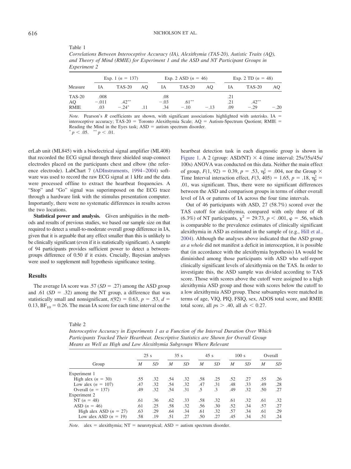<span id="page-5-0"></span>Table 1

*Correlations Between Interoceptive Accuracy (IA), Alexithymia (TAS-20), Autistic Traits (AQ), and Theory of Mind (RMIE) for Experiment 1 and the ASD and NT Participant Groups in Experiment 2*

|              | Exp. 1 ( $n = 137$ ) |               |     | Exp. 2 ASD $(n = 46)$ |          |       | Exp. 2 TD $(n = 48)$ |          |        |
|--------------|----------------------|---------------|-----|-----------------------|----------|-------|----------------------|----------|--------|
| Measure      | IΑ                   | <b>TAS-20</b> | AO. | IA                    | TAS-20   | AO    | IA                   | TAS-20   | AO.    |
| TAS-20<br>AO | .008<br>$-.011$      | $.42***$      |     | .08<br>$-.03$         | $.61***$ |       | .21<br>.21           | $.42***$ |        |
| <b>RMIE</b>  | .03                  | $-24*$        |     | .34                   | $-10$    | $-13$ | .09                  | $-29$    | $-.20$ |

*Note.* Pearson's *R* coefficients are shown, with significant associations highlighted with asterisks. IA = interoceptive accuracy; TAS-20 = Toronto Alexithymia Scale; AQ = Autism-Spectrum Quotient; RMIE = Reading the Mind in the Eyes task;  $ASD =$  autism spectrum disorder.  $p < .05.$  \*\*  $p < .01.$ 

erLab unit (ML845) with a bioelectrical signal amplifier (ML408) that recorded the ECG signal through three shielded snap-connect electrodes placed on the participants chest and elbow (the reference electrode). LabChart 7 [\(ADInstruments, 1994–2004\)](#page-7-3) software was used to record the raw ECG signal at 1 kHz and the data were processed offline to extract the heartbeat frequencies. A "Stop" and "Go" signal was superimposed on the ECG trace through a hardware link with the stimulus presentation computer. Importantly, there were no systematic differences in results across the two locations.

Statistical power and analysis. Given ambiguities in the methods and results of previous studies, we based our sample size on that required to detect a small-to-moderate overall group difference in IA, given that it is arguable that any effect smaller than this is unlikely to be clinically significant (even if it is statistically significant). A sample of 94 participants provides sufficient power to detect a betweengroups difference of 0.50 if it exists. Crucially, Bayesian analyses were used to supplement null hypothesis significance testing.

#### **Results**

The average IA score was  $.57$  ( $SD = .27$ ) among the ASD group and .61  $(SD = .32)$  among the NT group, a difference that was statistically small and nonsignificant,  $t(92) = 0.63$ ,  $p = .53$ ,  $d =$ 0.13,  $BF_{10} = 0.26$ . The mean IA score for each time interval on the

Table 2

*Interoceptive Accuracy in Experiments 1 as a Function of the Interval Duration Over Which Participants Tracked Their Heartbeat. Descriptive Statistics are Shown for Overall Group Means as Well as High and Low Alexithymia Subgroups Where Relevant*

|                          | 25s |     | 35s |     | 45s |           | 100 s |     | Overall |           |
|--------------------------|-----|-----|-----|-----|-----|-----------|-------|-----|---------|-----------|
| Group                    | M   | SD  | M   | SD  | M   | SD        | M     | SD  | M       | <i>SD</i> |
| Experiment 1             |     |     |     |     |     |           |       |     |         |           |
| High alex $(n = 30)$     | .55 | .32 | .54 | .32 | .58 | .25       | .52   | .27 | .55     | .26       |
| Low alex $(n = 107)$     | .47 | .32 | .54 | .32 | .47 | .31       | .48   | .33 | .49     | .28       |
| Overall $(n = 137)$      | .49 | .32 | .54 | .31 | .5  | $\cdot$ 3 | .49   | .32 | .50     | .27       |
| Experiment 2             |     |     |     |     |     |           |       |     |         |           |
| NT $(n = 48)$            | .61 | .36 | .62 | .33 | .58 | .32       | .61   | .32 | .61     | .32       |
| ASD $(n = 46)$           | .61 | .25 | .58 | .32 | .56 | .30       | .52   | .34 | .57     | .27       |
| High alex ASD $(n = 27)$ | .63 | .29 | .64 | .34 | .61 | .32       | .57   | .34 | .61     | .29       |
| Low alex ASD $(n = 19)$  | .58 | .19 | .51 | .27 | .50 | .27       | .45   | .34 | .51     | .24       |

*Note.* alex = alexithymia;  $NT$  = neurotypical;  $ASD$  = autism spectrum disorder.

heartbeat detection task in each diagnostic group is shown in [Figure 1.](#page-6-0) A 2 (group: ASD/NT)  $\times$  4 (time interval: 25s/35s/45s/ 100s) ANOVA was conducted on this data. Neither the main effect of group,  $F(1, 92) = 0.39$ ,  $p = .53$ ,  $\eta_p^2 = .004$ , nor the Group  $\times$ Time Interval interaction effect,  $F(3, 405) = 1.65$ ,  $p = .18$ ,  $\eta_p^2 =$ .01, was significant. Thus, there were no significant differences between the ASD and comparison groups in terms of either overall level of IA or patterns of IA across the four time intervals.

Out of 46 participants with ASD, 27 (58.7%) scored over the TAS cutoff for alexithymia, compared with only three of 48 (6.3%) of NT participants,  $\chi^2 = 29.73$ ,  $p < .001$ ,  $\varphi = .56$ , which is comparable to the prevalence estimates of clinically significant alexithymia in ASD as estimated in the sample of (e.g., [Hill et al.,](#page-9-6) [2004\)](#page-9-6). Although the analyses above indicated that the ASD group *as a whole* did not manifest a deficit in interoception, it is possible that (in accordance with the alexithymia hypothesis) IA would be diminished among those participants with ASD who self-report clinically significant levels of alexithymia on the TAS. In order to investigate this, the ASD sample was divided according to TAS score. Those with scores above the cutoff were assigned to a high alexithymia ASD group and those with scores below the cutoff to a low alexithymia ASD group. These subsamples were matched in terms of age, VIQ, PIQ, FSIQ, sex, ADOS total score, and RMIE total score, all  $ps > .40$ , all  $ds < 0.27$ .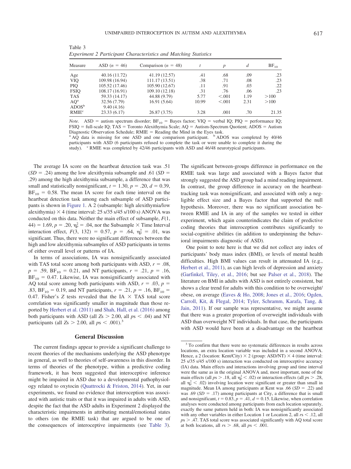| ٧       | I |
|---------|---|
| I<br>۰, |   |

| Measure                                                      | ASD $(n = 46)$                                                                       | Comparison ( $n = 48$ )                                                            |                                  | $\boldsymbol{p}$                    | d                                | $BF_{10}$                        |
|--------------------------------------------------------------|--------------------------------------------------------------------------------------|------------------------------------------------------------------------------------|----------------------------------|-------------------------------------|----------------------------------|----------------------------------|
| Age<br><b>VIQ</b><br><b>PIQ</b><br><b>FSIO</b><br><b>TAS</b> | 40.16 (11.72)<br>109.98 (16.94)<br>105.52 (17.46)<br>108.17 (16.91)<br>59.33 (14.17) | 41.19 (12.57)<br>111.17(13.51)<br>105.90 (12.67)<br>109.10 (12.18)<br>44.88 (9.79) | .41<br>.38<br>.11<br>.31<br>5.77 | .68<br>.71<br>.91<br>.76<br>< 0.001 | .09<br>.08<br>.03<br>.06<br>1.19 | .23<br>.23<br>.22<br>.23<br>>100 |
| $AQ^a$<br>$\rm{ADOS}^b$<br>RMIE <sup>c</sup>                 | 32.56 (7.79)<br>9.40(4.16)<br>23.33(6.17)                                            | 16.91(5.64)<br>26.87 (3.75)                                                        | 10.99<br>3.28                    | < 0.001<br>.001                     | 2.31<br>.70                      | >100<br>21.35                    |

Table 3 *Experiment 2 Participant Characteristics and Matching Statistics*

*Note.* ASD = autism spectrum disorder;  $BF_{10}$  = Bayes factor; VIQ = verbal IQ; PIQ = performance IQ; FSIQ = full-scale IQ; TAS = Toronto Alexithymia Scale; AQ = Autism-Spectrum Quotient; ADOS = Autism Diagnostic Observation Schedule;  $RMIE = Reading$  the Mind in the Eyes task.

<sup>a</sup> AQ data is missing for one ASD and one comparison participant. <sup>b</sup> ADOS was completed by 40/46 participants with ASD (6 participants refused to complete the task or were unable to complete it during the study). <sup>c</sup> RMIE was completed by 42/46 participants with ASD and 46/48 neurotypical participants.

<span id="page-6-0"></span>The average IA score on the heartbeat detection task was .51  $(SD = .24)$  among the low alexithymia subsample and .61  $(SD = .24)$ .29) among the high alexithymia subsample, a difference that was small and statistically nonsignificant,  $t = 1.30$ ,  $p = .20$ ,  $d = 0.39$ ,  $BF_{10} = 0.58$ . The mean IA score for each time interval on the heartbeat detection task among each subsample of ASD participants is shown in [Figure 1.](#page-6-0) A 2 (subsample: high alexithymia/low alexithymia)  $\times$  4 (time interval: 25 s/35 s/45 s/100 s) ANOVA was conducted on this data. Neither the main effect of subsample, *F*(1,  $(44) = 1.69, p = .20, \eta_p^2 = .04$ , nor the Subsample  $\times$  Time Interval interaction effect,  $F(3, 132) = 0.57$ ,  $p = .64$ ,  $\eta_p^2 = .01$ , was significant. Thus, there were no significant differences between the high and low alexithymia subsamples of ASD participants in terms of either overall level or patterns of IA.

In terms of associations, IA was nonsignificantly associated with TAS total score among both participants with ASD,  $r = .08$ ,  $p = .59$ ,  $BF_{10} = 0.21$ , and NT participants,  $r = .21$ ,  $p = .16$ ,  $BF_{10} = 0.47$ . Likewise, IA was nonsignificantly associated with AQ total score among both participants with ASD,  $r = .03$ ,  $p =$ .83,  $BF_{10} = 0.19$ , and NT participants,  $r = .21$ ,  $p = .16$ ,  $BF_{10} =$ 0.47. Fisher's  $Z$  tests revealed that the IA  $\times$  TAS total score correlation was significantly smaller in magnitude than those reported by [Herbert et al. \(2011\)](#page-9-15) and [Shah, Hall, et al. \(2016\)](#page-9-16) among both participants with ASD (all  $Z_s > 2.00$ , all  $ps < .04$ ) and NT participants (all  $Z_s > 2.00$ , all  $ps < .001$ ).<sup>3</sup>

#### **General Discussion**

The current findings appear to provide a significant challenge to recent theories of the mechanisms underlying the ASD phenotype in general, as well to theories of self-awareness in this disorder. In terms of theories of the phenotype, within a predictive coding framework, it has been suggested that interoceptive inference might be impaired in ASD due to a developmental pathophysiology related to oxytocin [\(Quattrocki & Friston, 2014\)](#page-9-0). Yet, in our experiments, we found no evidence that interoception was associated with autistic traits or that it was impaired in adults with ASD, despite the fact that the ASD adults in Experiment 2 displayed the characteristic impairments in attributing mental/emotional states to others (on the RMIE task) that are argued to be one of the consequences of interoceptive impairments (see [Table 3\)](#page-5-0).

The significant between-groups difference in performance on the RMIE task was large and associated with a Bayes factor that strongly suggested the ASD group had a mind reading impairment. In contrast, the group difference in accuracy on the heartbeattracking task was nonsignificant, and associated with only a negligible effect size and a Bayes factor that supported the null hypothesis. Moreover, there was no significant association between RMIE and IA in any of the samples we tested in either experiment, which again counterindicates the claim of predictive coding theories that interoception contributes significantly to social-cognitive abilities (in addition to underpinning the behavioral impairments diagnostic of ASD).

One point to note here is that we did not collect any index of participants' body mass index (BMI), or levels of mental health difficulties. High BMI values can result in attenuated IA (e.g., [Herbert et al., 2011\)](#page-9-15), as can high levels of depression and anxiety [\(Garfinkel, Tiley, et al., 2016;](#page-8-14) but see [Palser et al., 2018\)](#page-9-17). The literature on BMI in adults with ASD is not entirely consistent, but shows a clear trend for adults with this condition to be overweight/ obese, on average [\(Eaves & Ho, 2008;](#page-8-25) [Jones et al., 2016;](#page-9-25) [Ogden,](#page-9-26) [Carroll, Kit, & Flegal, 2014;](#page-9-26) [Tyler, Schramm, Karafa, Tang, &](#page-10-8) [Jain, 2011\)](#page-10-8). If our sample was representative, we might assume that there was a greater proportion of overweight individuals with ASD than overweight NT individuals. In that case, the participants with ASD would have been at a disadvantage on the heartbeat

<sup>3</sup> To confirm that there were no systematic differences in results across locations, an extra location variable was included in a second ANOVA. Hence, a 2 (location: Kent/City)  $\times$  2 (group: ASD/NT)  $\times$  4 (time interval: 25 s/35 s/45 s/100 s) interaction was conducted on interoceptive accuracy (IA) data. Main effects and interactions involving group and time interval were the same as in the original ANOVA and, most important, none of the main effects (all  $ps > .18$ , all  $\eta_p^2 < .02$ ) or interaction effects (all  $ps > .28$ , all  $\eta_p^2$  < .02) involving location were significant or greater than small in magnitude. Mean IA among participants at Kent was  $.66$  ( $SD = .22$ ) and was .69  $(SD = .17)$  among participants at City, a difference that is small and nonsignificant,  $t = 0.83$ ,  $p = .41$ ,  $d = 0.15$ . Likewise, when correlation analyses were conducted among participants from each location separately, exactly the same pattern held in both: IA was nonsignificantly associated with any other variables in either Location 1 or Location 2, all  $rs < .12$ , all  $p_s$   $>$  .47. TAS total score was associated significantly with AQ total score at both locations, all  $rs > .68$ , all  $ps < .001$ .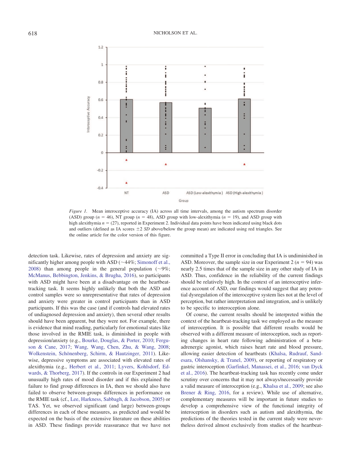

*Figure 1.* Mean interoceptive accuracy (IA) across all time intervals, among the autism spectrum disorder (ASD) group ( $n = 46$ ), NT group ( $n = 48$ ), ASD group with low-alexithymia ( $n = 19$ ), and ASD group with high alexithymia  $n = (27)$ , reported in Experiment 2. Individual data points have been indicated using black dots and outliers (defined as IA scores  $\pm 2$  *SD* above/below the group mean) are indicated using red triangles. See the online article for the color version of this figure.

detection task. Likewise, rates of depression and anxiety are significantly higher among people with ASD ( $\sim$ 44%; [Simonoff et al.,](#page-10-9) [2008\)](#page-10-9) than among people in the general population  $(\sim 9\%;$ [McManus, Bebbington, Jenkins, & Brugha, 2016\)](#page-9-27), so participants with ASD might have been at a disadvantage on the heartbeattracking task. It seems highly unlikely that both the ASD and control samples were so unrepresentative that rates of depression and anxiety were greater in control participants than in ASD participants. If this was the case (and if controls had elevated rates of undiagnosed depression and anxiety), then several other results should have been apparent, but they were not. For example, there is evidence that mind reading, particularly for emotional states like those involved in the RMIE task, is diminished in people with depression/anxiety (e.g., [Bourke, Douglas, & Porter, 2010;](#page-8-26) [Fergu](#page-8-27)[son & Cane, 2017;](#page-8-27) [Wang, Wang, Chen, Zhu, & Wang, 2008;](#page-10-10) [Wolkenstein, Schönenberg, Schirm, & Hautzinger, 2011\)](#page-10-11). Likewise, depressive symptoms are associated with elevated rates of alexithymia (e.g., [Herbert et al., 2011;](#page-9-15) [Lyvers, Kohlsdorf, Ed](#page-9-28)[wards, & Thorberg, 2017\)](#page-9-28). If the controls in our Experiment 2 had unusually high rates of mood disorder and if this explained the failure to find group differences in IA, then we should also have failed to observe between-groups differences in performance on the RMIE task (cf., [Lee, Harkness, Sabbagh, & Jacobson, 2005\)](#page-9-29) or TAS. Yet, we observed significant (and large) between-groups differences in each of these measures, as predicted and would be expected on the basis of the extensive literature on these abilities in ASD. These findings provide reassurance that we have not committed a Type II error in concluding that IA is undiminished in ASD. Moreover, the sample size in our Experiment  $2 (n = 94)$  was nearly 2.5 times that of the sample size in any other study of IA in ASD. Thus, confidence in the reliability of the current findings should be relatively high. In the context of an interoceptive inference account of ASD, our findings would suggest that any potential dysregulation of the interoceptive system lies not at the level of perception, but rather interpretation and integration, and is unlikely to be specific to interoception alone.

<span id="page-7-3"></span><span id="page-7-2"></span><span id="page-7-1"></span><span id="page-7-0"></span>Of course, the current results should be interpreted within the context of the heartbeat-tracking task we employed as the measure of interoception. It is possible that different results would be observed with a different measure of interoception, such as reporting changes in heart rate following administration of a betaadrenergic agonist, which raises heart rate and blood pressure, allowing easier detection of heartbeats [\(Khalsa, Rudrauf, Sand](#page-9-30)[esara, Olshansky, & Tranel, 2009\)](#page-9-30), or reporting of respiratory or gastric interoception [\(Garfinkel, Manassei, et al., 2016;](#page-8-28) [van Dyck](#page-10-12) [et al., 2016\)](#page-10-12). The heartbeat-tracking task has recently come under scrutiny over concerns that it may not always/necessarily provide a valid measure of interoception (e.g., [Khalsa et al., 2009;](#page-9-30) see also [Brener & Ring, 2016,](#page-8-17) for a review). While use of alternative, complementary measures will be important in future studies to develop a comprehensive view of the functional integrity of interoception in disorders such as autism and alexithymia, the predictions of the theories tested in the current study were nevertheless derived almost exclusively from studies of the heartbeat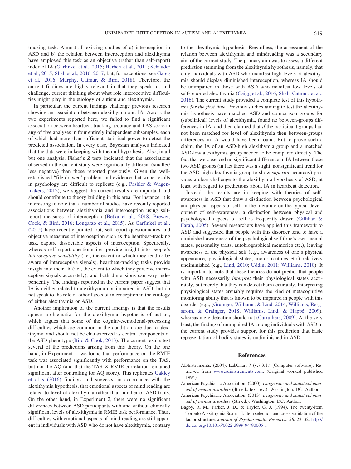<span id="page-8-22"></span><span id="page-8-21"></span>tracking task. Almost all existing studies of a) interoception in ASD and b) the relation between interoception and alexithymia have employed this task as an objective (rather than self-report) index of IA [\(Garfinkel et al., 2015;](#page-8-16) [Herbert et al., 2011;](#page-9-15) [Schauder](#page-9-11) [et al., 2015;](#page-9-11) [Shah et al., 2016,](#page-9-1) [2017;](#page-9-2) but, for exceptions, see [Gaigg](#page-8-15) [et al., 2016;](#page-8-15) [Murphy, Catmur, & Bird, 2018\)](#page-9-31). Therefore, the current findings are highly relevant in that they speak to, and challenge, current thinking about what role interoceptive difficulties might play in the etiology of autism and alexithymia.

<span id="page-8-29"></span><span id="page-8-11"></span><span id="page-8-10"></span><span id="page-8-6"></span><span id="page-8-1"></span>In particular, the current findings challenge previous research showing an association between alexithymia and IA. Across the two experiments reported here, we failed to find a significant association between heartbeat tracking accuracy and TAS score in any of five analyses in four entirely independent subsamples, each of which had more than sufficient statistical power to detect the predicted association. In every case, Bayesian analyses indicated that the data were in keeping with the null hypothesis. Also, in all but one analysis, Fisher's *Z* tests indicated that the associations observed in the current study were significantly different (smaller/ less negative) than those reported previously. Given the wellestablished "file-drawer" problem and evidence that some results in psychology are difficult to replicate (e.g., [Pashler & Wagen](#page-9-32)[makers, 2012\)](#page-9-32), we suggest the current results are important and should contribute to theory building in this area. For instance, it is interesting to note that a number of studies have recently reported associations between alexithymia and interoception using selfreport measures of interoception [\(Betka et al., 2018;](#page-8-29) [Brewer,](#page-8-30) [Cook, & Bird, 2016;](#page-8-30) [Longarzo et al., 2015\)](#page-9-33). As [Garfinkel et al.,](#page-8-16) [\(2015\)](#page-8-16) have recently pointed out, self-report questionnaires and objective measures of interoception such as the heartbeat-tracking task, capture dissociable aspects of interoception. Specifically, whereas self-report questionnaires provide insight into people's *interoceptive sensibility* (i.e., the extent to which they tend to be aware of interoceptive signals), heartbeat-tracking tasks provide insight into their IA (i.e., the extent to which they perceive interoceptive signals accurately), and both dimensions can vary independently. The findings reported in the current paper suggest that IA is neither related to alexithymia nor impaired in ASD, but do not speak to the role of other facets of interoception in the etiology of either alexithymia or ASD.

<span id="page-8-32"></span><span id="page-8-30"></span><span id="page-8-26"></span><span id="page-8-18"></span><span id="page-8-17"></span><span id="page-8-13"></span><span id="page-8-12"></span><span id="page-8-7"></span><span id="page-8-0"></span>Another implication of the current findings is that the results appear problematic for the alexithymia hypothesis of autism, which argues that some of the cognitive/emotional-processing difficulties which are common in the condition, are due to alexithymia and should not be characterized as central components of the ASD phenotype [\(Bird & Cook, 2013\)](#page-8-10). The current results test several of the predictions arising from this theory. On the one hand, in Experiment 1, we found that performance on the RMIE task was associated significantly with performance on the TAS, but not the AQ (and that the TAS  $\times$  RMIE correlation remained significant after controlling for AQ score). This replicates [Oakley](#page-9-13) [et al.'s \(2016\)](#page-9-13) findings and suggests, in accordance with the alexithymia hypothesis, that emotional aspects of mind reading are related to level of alexithymia rather than number of ASD traits. On the other hand, in Experiment 2, there were no significant differences between ASD participants with and without clinically significant levels of alexithymia in RMIE task performance. Thus, difficulties with emotional aspects of mind reading are still apparent in individuals with ASD who do not have alexithymia, contrary

<span id="page-8-24"></span><span id="page-8-20"></span><span id="page-8-8"></span><span id="page-8-3"></span>to the alexithymia hypothesis. Regardless, the assessment of the relation between alexithymia and mindreading was a secondary aim of the current study. The primary aim was to assess a different prediction stemming from the alexithymia hypothesis, namely, that only individuals with ASD who manifest high levels of alexithymia should display diminished interoception, whereas IA should be unimpaired in those with ASD who manifest low levels of self-reported alexithymia [\(Gaigg et al., 2016;](#page-8-15) [Shah, Catmur, et al.,](#page-9-1) [2016\)](#page-9-1). The current study provided a complete test of this hypothesis *for the first time*. Previous studies aiming to test the alexithymia hypothesis have matched ASD and comparison groups for (subclinical) levels of alexithymia, found no between-groups differences in IA, and then claimed that *if* the participant groups had not been matched for level of alexithymia then between-groups differences in IA would have been found. But to prove such a claim, the IA of an ASD-high alexithymia group and a matched ASD-low alexithymia group needed to be compared directly. The fact that we observed no significant difference in IA between these two ASD groups (in fact there was a slight, nonsignificant trend for the ASD-high alexithymia group to show *superior* accuracy) provides a clear challenge to the alexithymia hypothesis of ASD, at least with regard to predictions about IA in heartbeat detection.

<span id="page-8-27"></span><span id="page-8-25"></span><span id="page-8-23"></span><span id="page-8-19"></span><span id="page-8-9"></span><span id="page-8-5"></span><span id="page-8-2"></span>Instead, the results are in keeping with theories of selfawareness in ASD that draw a distinction between psychological and physical aspects of self. In the literature on the typical development of self-awareness, a distinction between physical and psychological aspects of self is frequently drawn [\(Gillihan &](#page-8-31) [Farah, 2005\)](#page-8-31). Several researchers have applied this framework to ASD and suggested that people with this disorder tend to have a diminished awareness of the psychological self (one's own mental states, personality traits, autobiographical memories etc.), leaving awareness of the physical self (e.g., awareness of one's physical appearance, physiological states, motor routines etc.) relatively undiminished (e.g., [Lind, 2010;](#page-9-9) [Uddin, 2011;](#page-10-4) [Williams, 2010\)](#page-10-2). It is important to note that these theories do not predict that people with ASD necessarily *interpret* their physiological states accurately, but merely that they can detect them accurately. Interpreting physiological states arguably requires the kind of metacognitive monitoring ability that is known to be impaired in people with this disorder (e.g., [\(Grainger, Williams, & Lind, 2014;](#page-9-34) [Williams, Berg](#page-10-13)[ström, & Grainger, 2018;](#page-10-13) [Williams, Lind, & Happé, 2009\)](#page-10-14), whereas mere detection should not [\(Carruthers, 2009\)](#page-8-32). At the very least, the finding of unimpaired IA among individuals with ASD in the current study provides support for this prediction that basic representation of bodily states is undiminished in ASD.

#### **References**

- <span id="page-8-28"></span><span id="page-8-16"></span><span id="page-8-15"></span><span id="page-8-14"></span><span id="page-8-4"></span>ADInstruments. (2004). LabChart 7 (v.7.3.1.) [Computer software]. Retrieved from [www.adiinstruments.com.](https://www.adiinstruments.com) (Original worked published 1994)
- American Psychiatric Association. (2000). *Diagnostic and statistical manual of mental disorders* (4th ed., text rev.). Washington, DC: Author.
- American Psychiatric Association. (2013). *Diagnostic and statistical manual of mental disorders* (5th ed.). Washington, DC: Author.
- <span id="page-8-31"></span>Bagby, R. M., Parker, J. D., & Taylor, G. J. (1994). The twenty-item Toronto Alexithymia Scale—I. Item selection and cross-validation of the factor structure. *Journal of Psychosomatic Research, 38,* 23–32. [http://](http://dx.doi.org/10.1016/0022-3999%2894%2990005-1) [dx.doi.org/10.1016/0022-3999\(94\)90005-1](http://dx.doi.org/10.1016/0022-3999%2894%2990005-1)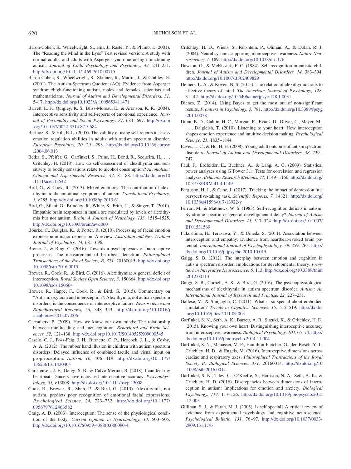- <span id="page-9-4"></span>Baron-Cohen, S., Wheelwright, S., Hill, J., Raste, Y., & Plumb, I. (2001). The "Reading the Mind in the Eyes" Test revised version: A study with normal adults, and adults with Asperger syndrome or high-functioning autism. *Journal of Child Psychology and Psychiatry, 42,* 241–251. <http://dx.doi.org/10.1111/1469-7610.00715>
- <span id="page-9-34"></span><span id="page-9-5"></span>Baron-Cohen, S., Wheelwright, S., Skinner, R., Martin, J., & Clubley, E. (2001). The Autism-Spectrum Quotient (AQ): Evidence from Asperger syndrome/high-functioning autism, males and females, scientists and mathematicians. *Journal of Autism and Developmental Disorders, 31,* 5–17. <http://dx.doi.org/10.1023/A:1005653411471>
- <span id="page-9-14"></span>Barrett, L. F., Quigley, K. S., Bliss-Moreau, E., & Aronson, K. R. (2004). Interoceptive sensitivity and self-reports of emotional experience. *Journal of Personality and Social Psychology, 87,* 684–697. [http://dx.doi](http://dx.doi.org/10.1037/0022-3514.87.5.684) [.org/10.1037/0022-3514.87.5.684](http://dx.doi.org/10.1037/0022-3514.87.5.684)
- <span id="page-9-15"></span>Berthoz, S., & Hill, E. L. (2005). The validity of using self-reports to assess emotion regulation abilities in adults with autism spectrum disorder. *European Psychiatry, 20,* 291–298. [http://dx.doi.org/10.1016/j.eurpsy](http://dx.doi.org/10.1016/j.eurpsy.2004.06.013) [.2004.06.013](http://dx.doi.org/10.1016/j.eurpsy.2004.06.013)
- <span id="page-9-6"></span>Betka, S., Pfeifer, G., Garfinkel, S., Prins, H., Bond, R., Sequeira, H., ... Critchley, H. (2018). How do self-assessment of alexithymia and sensitivity to bodily sensations relate to alcohol consumption? *Alcoholism: Clinical and Experimental Research, 42,* 81–88. [http://dx.doi.org/10](http://dx.doi.org/10.1111/acer.13542) [.1111/acer.13542](http://dx.doi.org/10.1111/acer.13542)
- <span id="page-9-23"></span><span id="page-9-21"></span>Bird, G., & Cook, R. (2013). Mixed emotions: The contribution of alexithymia to the emotional symptoms of autism. *Translational Psychiatry, 3,* e285. <http://dx.doi.org/10.1038/tp.2013.61>
- <span id="page-9-25"></span>Bird, G., Silani, G., Brindley, R., White, S., Frith, U., & Singer, T. (2010). Empathic brain responses in insula are modulated by levels of alexithymia but not autism. *Brain: A Journal of Neurology, 133,* 1515–1525. <http://dx.doi.org/10.1093/brain/awq060>
- <span id="page-9-7"></span>Bourke, C., Douglas, K., & Porter, R. (2010). Processing of facial emotion expression in major depression: A review. *Australian and New Zealand Journal of Psychiatry, 44,* 681–696.
- <span id="page-9-30"></span>Brener, J., & Ring, C. (2016). Towards a psychophysics of interoceptive processes: The measurement of heartbeat detection. *Philosophical Transactions of the Royal Society, B, 371,* 20160015. [http://dx.doi.org/](http://dx.doi.org/10.1098/rstb.2016.0015) [10.1098/rstb.2016.0015](http://dx.doi.org/10.1098/rstb.2016.0015)
- <span id="page-9-29"></span>Brewer, R., Cook, R., & Bird, G. (2016). Alexithymia: A general deficit of interoception. *Royal Society Open Science, 3,* 150664. [http://dx.doi.org/](http://dx.doi.org/10.1098/rsos.150664) [10.1098/rsos.150664](http://dx.doi.org/10.1098/rsos.150664)
- <span id="page-9-9"></span>Brewer, R., Happé, F., Cook, R., & Bird, G. (2015). Commentary on "Autism, oxytocin and interoception": Alexithymia, not autism spectrum disorders, is the consequence of interoceptive failure. *Neuroscience and Biobehavioral Reviews, 56,* 348–353. [http://dx.doi.org/10.1016/j](http://dx.doi.org/10.1016/j.neubiorev.2015.07.006) [.neubiorev.2015.07.006](http://dx.doi.org/10.1016/j.neubiorev.2015.07.006)
- <span id="page-9-33"></span><span id="page-9-12"></span>Carruthers, P. (2009). How we know our own minds: The relationship between mindreading and metacognition. *Behavioral and Brain Sciences, 32,* 121–138. <http://dx.doi.org/10.1017/S0140525X09000545>
- <span id="page-9-24"></span>Cascio, C. J., Foss-Feig, J. H., Burnette, C. P., Heacock, J. L., & Cosby, A. A. (2012). The rubber hand illusion in children with autism spectrum disorders: Delayed influence of combined tactile and visual input on proprioception. *Autism, 16,* 406–419. [http://dx.doi.org/10.1177/](http://dx.doi.org/10.1177/1362361311430404) [1362361311430404](http://dx.doi.org/10.1177/1362361311430404)
- Christensen, J. F., Gaigg, S. B., & Calvo-Merino, B. (2018). I can feel my heartbeat: Dancers have increased interoceptive accuracy. *Psychophysiology, 55,* e13008. <http://dx.doi.org/10.1111/psyp.13008>
- <span id="page-9-28"></span>Cook, R., Brewer, R., Shah, P., & Bird, G. (2013). Alexithymia, not autism, predicts poor recognition of emotional facial expressions. *Psychological Science, 24,* 723–732. [http://dx.doi.org/10.1177/](http://dx.doi.org/10.1177/0956797612463582) [0956797612463582](http://dx.doi.org/10.1177/0956797612463582)
- <span id="page-9-27"></span>Craig, A. D. (2003). Interoception: The sense of the physiological condition of the body. *Current Opinion in Neurobiology, 13,* 500–505. [http://dx.doi.org/10.1016/S0959-4388\(03\)00090-4](http://dx.doi.org/10.1016/S0959-4388%2803%2900090-4)
- Critchley, H. D., Wiens, S., Rotshtein, P., Öhman, A., & Dolan, R. J. (2004). Neural systems supporting interoceptive awareness. *Nature Neuroscience, 7,* 189. <http://dx.doi.org/10.1038/nn1176>
- <span id="page-9-8"></span>Dawson, G., & McKissick, F. C. (1984). Self-recognition in autistic children. *Journal of Autism and Developmental Disorders, 14,* 383–394. <http://dx.doi.org/10.1007/BF02409829>
- Demers, L. A., & Koven, N. S. (2015). The relation of alexithymic traits to affective theory of mind. *The American Journal of Psychology, 128,* 31–42. <http://dx.doi.org/10.5406/amerjpsyc.128.1.0031>
- <span id="page-9-31"></span>Dienes, Z. (2014). Using Bayes to get the most out of non-significant results. *Frontiers in Psychology, 5,* 781. [http://dx.doi.org/10.3389/fpsyg](http://dx.doi.org/10.3389/fpsyg.2014.00781) [.2014.00781](http://dx.doi.org/10.3389/fpsyg.2014.00781)
- <span id="page-9-19"></span>Dunn, B. D., Galton, H. C., Morgan, R., Evans, D., Oliver, C., Meyer, M., . . . Dalgleish, T. (2010). Listening to your heart: How interoception shapes emotion experience and intuitive decision making. *Psychological Science, 21,* 1835–1844.
- <span id="page-9-13"></span>Eaves, L. C., & Ho, H. H. (2008). Young adult outcome of autism spectrum disorders. *Journal of Autism and Developmental Disorders, 38,* 739– 747.
- <span id="page-9-26"></span>Faul, F., Erdfelder, E., Buchner, A., & Lang, A. G. (2009). Statistical power analyses using G\*Power 3.1: Tests for correlation and regression analyses. *Behavior Research Methods, 41,* 1149–1160. [http://dx.doi.org/](http://dx.doi.org/10.3758/BRM.41.4.1149) [10.3758/BRM.41.4.1149](http://dx.doi.org/10.3758/BRM.41.4.1149)
- <span id="page-9-17"></span>Ferguson, H. J., & Cane, J. (2017). Tracking the impact of depression in a perspective-taking task. *Scientific Reports, 7,* 14821. [http://dx.doi.org/](http://dx.doi.org/10.1038/s41598-017-13922-y) [10.1038/s41598-017-13922-y](http://dx.doi.org/10.1038/s41598-017-13922-y)
- <span id="page-9-32"></span>Ferrari, M., & Matthews, W. S. (1983). Self-recognition deficits in autism: Syndrome-specific or general developmental delay? *Journal of Autism and Developmental Disorders, 13,* 317–324. [http://dx.doi.org/10.1007/](http://dx.doi.org/10.1007/BF01531569) [BF01531569](http://dx.doi.org/10.1007/BF01531569)
- <span id="page-9-10"></span>Fukushima, H., Terasawa, Y., & Umeda, S. (2011). Association between interoception and empathy: Evidence from heartbeat-evoked brain potential. *International Journal of Psychophysiology, 79,* 259–265. [http://](http://dx.doi.org/10.1016/j.ijpsycho.2010.10.015) [dx.doi.org/10.1016/j.ijpsycho.2010.10.015](http://dx.doi.org/10.1016/j.ijpsycho.2010.10.015)
- <span id="page-9-20"></span>Gaigg, S. B. (2012). The interplay between emotion and cognition in autism spectrum disorder: Implications for developmental theory. *Frontiers in Integrative Neuroscience, 6,* 113. [http://dx.doi.org/10.3389/fnint](http://dx.doi.org/10.3389/fnint.2012.00113) [.2012.00113](http://dx.doi.org/10.3389/fnint.2012.00113)
- <span id="page-9-22"></span><span id="page-9-0"></span>Gaigg, S. B., Cornell, A. S., & Bird, G. (2016). The psychophysiological mechanisms of alexithymia in autism spectrum disorder. *Autism: An International Journal of Research and Practise, 22,* 227–231.
- Gallese, V., & Sinigaglia, C. (2011). What is so special about embodied simulation? *Trends in Cognitive Sciences, 15,* 512–519. [http://dx.doi](http://dx.doi.org/10.1016/j.tics.2011.09.003) [.org/10.1016/j.tics.2011.09.003](http://dx.doi.org/10.1016/j.tics.2011.09.003)
- <span id="page-9-18"></span><span id="page-9-11"></span>Garfinkel, S. N., Seth, A. K., Barrett, A. B., Suzuki, K., & Critchley, H. D. (2015). Knowing your own heart: Distinguishing interoceptive accuracy from interoceptive awareness. *Biological Psychology, 104,* 65–74. [http://](http://dx.doi.org/10.1016/j.biopsycho.2014.11.004) [dx.doi.org/10.1016/j.biopsycho.2014.11.004](http://dx.doi.org/10.1016/j.biopsycho.2014.11.004)
- <span id="page-9-3"></span>Garfinkel, S. N., Manassei, M. F., Hamilton-Fletcher, G., den Bosch, Y. I., Critchley, H. D., & Engels, M. (2016). Interoceptive dimensions across cardiac and respiratory axes. *Philosophical Transactions of the Royal Society B: Biological Sciences, 371,* 20160014. [http://dx.doi.org/10](http://dx.doi.org/10.1098/rstb.2016.0014) [.1098/rstb.2016.0014](http://dx.doi.org/10.1098/rstb.2016.0014)
- <span id="page-9-2"></span><span id="page-9-1"></span>Garfinkel, S. N., Tiley, C., O'Keeffe, S., Harrison, N. A., Seth, A. K., & Critchley, H. D. (2016). Discrepancies between dimensions of interoception in autism: Implications for emotion and anxiety. *Biological Psychology, 114,* 117–126. [http://dx.doi.org/10.1016/j.biopsycho.2015](http://dx.doi.org/10.1016/j.biopsycho.2015.12.003) [.12.003](http://dx.doi.org/10.1016/j.biopsycho.2015.12.003)
- <span id="page-9-16"></span>Gillihan, S. J., & Farah, M. J. (2005). Is self special? A critical review of evidence from experimental psychology and cognitive neuroscience. *Psychological Bulletin, 131,* 76–97. [http://dx.doi.org/10.1037/0033-](http://dx.doi.org/10.1037/0033-2909.131.1.76) [2909.131.1.76](http://dx.doi.org/10.1037/0033-2909.131.1.76)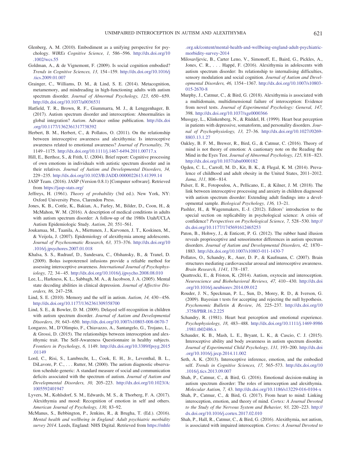- Glenberg, A. M. (2010). Embodiment as a unifying perspective for psychology. *WIREs Cognitive Science, 1,* 586–596. [http://dx.doi.org/10](http://dx.doi.org/10.1002/wcs.55) [.1002/wcs.55](http://dx.doi.org/10.1002/wcs.55)
- <span id="page-10-9"></span>Goldman, A., & de Vignemont, F. (2009). Is social cognition embodied? *Trends in Cognitive Sciences, 13,* 154–159. [http://dx.doi.org/10.1016/j](http://dx.doi.org/10.1016/j.tics.2009.01.007) [.tics.2009.01.007](http://dx.doi.org/10.1016/j.tics.2009.01.007)
- <span id="page-10-3"></span>Grainger, C., Williams, D. M., & Lind, S. E. (2014). Metacognition, metamemory, and mindreading in high-functioning adults with autism spectrum disorder. *Journal of Abnormal Psychology, 123,* 650–659. <http://dx.doi.org/10.1037/a0036531>
- <span id="page-10-8"></span>Hatfield, T. R., Brown, R. F., Giummarra, M. J., & Lenggenhager, B. (2017). Autism spectrum disorder and interoception: Abnormalities in global integration? *Autism*. Advance online publication. [http://dx.doi](http://dx.doi.org/10.1177/1362361317738392) [.org/10.1177/1362361317738392](http://dx.doi.org/10.1177/1362361317738392)
- <span id="page-10-4"></span>Herbert, B. M., Herbert, C., & Pollatos, O. (2011). On the relationship between interoceptive awareness and alexithymia: Is interoceptive awareness related to emotional awareness? *Journal of Personality, 79,* 1149–1175. <http://dx.doi.org/10.1111/j.1467-6494.2011.00717.x>
- <span id="page-10-12"></span>Hill, E., Berthoz, S., & Frith, U. (2004). Brief report: Cognitive processing of own emotions in individuals with autistic spectrum disorder and in their relatives. *Journal of Autism and Developmental Disorders, 34,* 229–235. <http://dx.doi.org/10.1023/B:JADD.0000022613.41399.14>
- <span id="page-10-10"></span>JASP Team. (2016). JASP (Version 0.8.1) [Computer software]. Retrieved from <https://jasp-stats.org/>
- <span id="page-10-5"></span>Jeffreys, H. (1961). *Theory of probability* (3rd ed.). New York, NY: Oxford University Press, Clarendon Press.
- <span id="page-10-6"></span>Jones, K. B., Cottle, K., Bakian, A., Farley, M., Bilder, D., Coon, H., & McMahon, W. M. (2016). A description of medical conditions in adults with autism spectrum disorder: A follow-up of the 1980s Utah/UCLA Autism Epidemiologic Study. *Autism, 20,* 551–561.
- Joukamaa, M., Taanila, A., Miettunen, J., Karvonen, J. T., Koskinen, M., & Veijola, J. (2007). Epidemiology of alexithymia among adolescents. *Journal of Psychosomatic Research, 63,* 373–376. [http://dx.doi.org/10](http://dx.doi.org/10.1016/j.jpsychores.2007.01.018) [.1016/j.jpsychores.2007.01.018](http://dx.doi.org/10.1016/j.jpsychores.2007.01.018)
- Khalsa, S. S., Rudrauf, D., Sandesara, C., Olshansky, B., & Tranel, D. (2009). Bolus isoproterenol infusions provide a reliable method for assessing interoceptive awareness. *International Journal of Psychophysiology, 72,* 34–45. <http://dx.doi.org/10.1016/j.ijpsycho.2008.08.010>
- Lee, L., Harkness, K. L., Sabbagh, M. A., & Jacobson, J. A. (2005). Mental state decoding abilities in clinical depression. *Journal of Affective Disorders, 86,* 247–258.
- Lind, S. E. (2010). Memory and the self in autism. *Autism, 14,* 430–456. <http://dx.doi.org/10.1177/1362361309358700>
- Lind, S. E., & Bowler, D. M. (2009). Delayed self-recognition in children with autism spectrum disorder. *Journal of Autism and Developmental Disorders, 39,* 643–650. <http://dx.doi.org/10.1007/s10803-008-0670-7>
- Longarzo, M., D'Olimpio, F., Chiavazzo, A., Santangelo, G., Trojano, L., & Grossi, D. (2015). The relationships between interoception and alexithymic trait. The Self-Awareness Questionnaire in healthy subjects. *Frontiers in Psychology, 6,* 1149. [http://dx.doi.org/10.3389/fpsyg.2015](http://dx.doi.org/10.3389/fpsyg.2015.01149) [.01149](http://dx.doi.org/10.3389/fpsyg.2015.01149)
- Lord, C., Risi, S., Lambrecht, L., Cook, E. H., Jr., Leventhal, B. L., DiLavore, P. C., ... Rutter, M. (2000). The autism diagnostic observation schedule-generic: A standard measure of social and communication deficits associated with the spectrum of autism. *Journal of Autism and Developmental Disorders, 30,* 205–223. [http://dx.doi.org/10.1023/A:](http://dx.doi.org/10.1023/A:1005592401947) [1005592401947](http://dx.doi.org/10.1023/A:1005592401947)
- Lyvers, M., Kohlsdorf, S. M., Edwards, M. S., & Thorberg, F. A. (2017). Alexithymia and mood: Recognition of emotion in self and others. *American Journal of Psychology, 130,* 83–92.
- McManus, S., Bebbington, P., Jenkins, R., & Brugha, T. (Ed.). (2016). *Mental health and wellbeing in England: Adult psychiatric morbidity survey 2014*. Leeds, England: NHS Digital. Retrieved from [https://mhfe](https://mhfe.org.uk/content/mental-health-and-wellbeing-england-adult-psychiatric-morbidity-survey-2014)

<span id="page-10-2"></span>[.org.uk/content/mental-health-and-wellbeing-england-adult-psychiatric](https://mhfe.org.uk/content/mental-health-and-wellbeing-england-adult-psychiatric-morbidity-survey-2014)[morbidity-survey-2014](https://mhfe.org.uk/content/mental-health-and-wellbeing-england-adult-psychiatric-morbidity-survey-2014)

- <span id="page-10-13"></span>Milosavljevic, B., Carter Leno, V., Simonoff, E., Baird, G., Pickles, A., Jones, C. R.,... Happé, F. (2016). Alexithymia in adolescents with autism spectrum disorder: Its relationship to internalising difficulties, sensory modulation and social cognition. *Journal of Autism and Developmental Disorders, 46,* 1354–1367. [http://dx.doi.org/10.1007/s10803-](http://dx.doi.org/10.1007/s10803-015-2670-8) [015-2670-8](http://dx.doi.org/10.1007/s10803-015-2670-8)
- <span id="page-10-14"></span><span id="page-10-11"></span>Murphy, J., Catmur, C., & Bird, G. (2018). Alexithymia is associated with a multidomain, multidimensional failure of interoception: Evidence from novel tests. *Journal of Experimental Psychology: General, 147,* 398. <http://dx.doi.org/10.1037/xge0000366>
- <span id="page-10-7"></span>Mussgay, L., Klinkenberg, N., & Rüddel, H. (1999). Heart beat perception in patients with depressive, somatoform, and personality disorders. *Journal of Psychophysiology, 13,* 27–36. [http://dx.doi.org/10.1027//0269-](http://dx.doi.org/10.1027//0269-8803.13.1.27) [8803.13.1.27](http://dx.doi.org/10.1027//0269-8803.13.1.27)
- <span id="page-10-1"></span>Oakley, B. F. M., Brewer, R., Bird, G., & Catmur, C. (2016). Theory of mind is not theory of emotion: A cautionary note on the Reading the Mind in the Eyes Test. *Journal of Abnormal Psychology, 125,* 818–823. <http://dx.doi.org/10.1037/abn0000182>
- <span id="page-10-0"></span>Ogden, C. L., Carroll, M. D., Kit, B. K., & Flegal, K. M. (2014). Prevalence of childhood and adult obesity in the United States, 2011–2012. *Jama, 311,* 806–814.
- Palser, E. R., Fotopoulou, A., Pellicano, E., & Kilner, J. M. (2018). The link between interoceptive processing and anxiety in children diagnosed with autism spectrum disorder: Extending adult findings into a developmental sample. *Biological Psychology, 136,* 13–21.
- Pashler, H., & Wagenmakers, E.-J. (2012). Editors' introduction to the special section on replicability in psychological science: A crisis of confidence? *Perspectives on Psychological Science, 7,* 528–530. [http://](http://dx.doi.org/10.1177/1745691612465253) [dx.doi.org/10.1177/1745691612465253](http://dx.doi.org/10.1177/1745691612465253)
- Paton, B., Hohwy, J., & Enticott, P. G. (2012). The rubber hand illusion reveals proprioceptive and sensorimotor differences in autism spectrum disorders. *Journal of Autism and Developmental Disorders, 42,* 1870– 1883. <http://dx.doi.org/10.1007/s10803-011-1430-7>
- Pollatos, O., Schandry, R., Auer, D. P., & Kaufmann, C. (2007). Brain structures mediating cardiovascular arousal and interoceptive awareness. *Brain Research, 1141,* 178–187.
- Quattrocki, E., & Friston, K. (2014). Autism, oxytocin and interoception. *Neuroscience and Biobehavioral Reviews, 47,* 410–430. [http://dx.doi](http://dx.doi.org/10.1016/j.neubiorev.2014.09.012) [.org/10.1016/j.neubiorev.2014.09.012](http://dx.doi.org/10.1016/j.neubiorev.2014.09.012)
- Rouder, J. N., Speckman, P. L., Sun, D., Morey, R. D., & Iverson, G. (2009). Bayesian t tests for accepting and rejecting the null hypothesis. *Psychonomic Bulletin & Review, 16,* 225–237. [http://dx.doi.org/10](http://dx.doi.org/10.3758/PBR.16.2.225) [.3758/PBR.16.2.225](http://dx.doi.org/10.3758/PBR.16.2.225)
- Schandry, R. (1981). Heart beat perception and emotional experience. *Psychophysiology, 18,* 483–488. [http://dx.doi.org/10.1111/j.1469-8986](http://dx.doi.org/10.1111/j.1469-8986.1981.tb02486.x) [.1981.tb02486.x](http://dx.doi.org/10.1111/j.1469-8986.1981.tb02486.x)
- Schauder, K. B., Mash, L. E., Bryant, L. K., & Cascio, C. J. (2015). Interoceptive ability and body awareness in autism spectrum disorder. *Journal of Experimental Child Psychology, 131,* 193–200. [http://dx.doi](http://dx.doi.org/10.1016/j.jecp.2014.11.002) [.org/10.1016/j.jecp.2014.11.002](http://dx.doi.org/10.1016/j.jecp.2014.11.002)
- Seth, A. K. (2013). Interoceptive inference, emotion, and the embodied self. *Trends in Cognitive Sciences, 17,* 565–573. [http://dx.doi.org/10](http://dx.doi.org/10.1016/j.tics.2013.09.007) [.1016/j.tics.2013.09.007](http://dx.doi.org/10.1016/j.tics.2013.09.007)
- Shah, P., Catmur, C., & Bird, G. (2016). Emotional decision-making in autism spectrum disorder: The roles of interoception and alexithymia. *Molecular Autism, 7,* 43. <http://dx.doi.org/10.1186/s13229-016-0104-x>
- Shah, P., Catmur, C., & Bird, G. (2017). From heart to mind: Linking interoception, emotion, and theory of mind. *Cortex: A Journal Devoted to the Study of the Nervous System and Behavior, 93,* 220–223. [http://](http://dx.doi.org/10.1016/j.cortex.2017.02.010) [dx.doi.org/10.1016/j.cortex.2017.02.010](http://dx.doi.org/10.1016/j.cortex.2017.02.010)
- Shah, P., Hall, R., Catmur, C., & Bird, G. (2016). Alexithymia, not autism, is associated with impaired interoception. *Cortex: A Journal Devoted to*